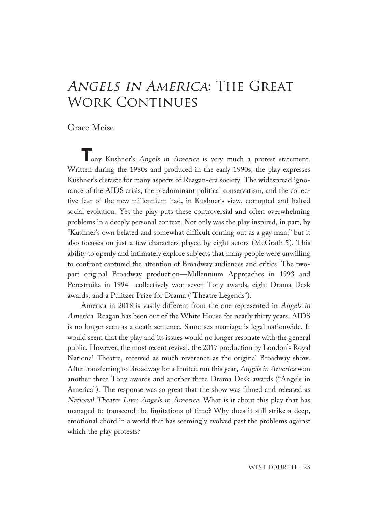## Angels in America: The Great WORK CONTINUES

## Grace Meise

**T**ony Kushner's Angels in America is very much <sup>a</sup> protest statement. Written during the 1980s and produced in the early 1990s, the play expresses Kushner's distaste for many aspects of Reagan-era society. The widespread ignorance of the AIDS crisis, the predominant political conservatism, and the collective fear of the new millennium had, in Kushner's view, corrupted and halted social evolution. Yet the play puts these controversial and often overwhelming problems in a deeply personal context. Not only was the play inspired, in part, by "Kushner's own belated and somewhat difficult coming out as a gay man," but it also focuses on just a few characters played by eight actors (McGrath 5). This ability to openly and intimately explore subjects that many people were unwilling to confront captured the attention of Broadway audiences and critics. The twopart original Broadway production—Millennium Approaches in 1993 and Perestroika in 1994—collectively won seven Tony awards, eight Drama Desk awards, and a Pulitzer Prize for Drama ("Theatre Legends").

America in 2018 is vastly different from the one represented in Angels in America. Reagan has been out of the White House for nearly thirty years. AIDS is no longer seen as a death sentence. Same-sex marriage is legal nationwide. It would seem that the play and its issues would no longer resonate with the general public. However, the most recent revival, the 2017 production by London's Royal National Theatre, received as much reverence as the original Broadway show. After transferring to Broadway for a limited run this year, Angels in America won another three Tony awards and another three Drama Desk awards ("Angels in America"). The response was so great that the show was filmed and released as National Theatre Live: Angels in America. What is it about this play that has managed to transcend the limitations of time? Why does it still strike a deep, emotional chord in a world that has seemingly evolved past the problems against which the play protests?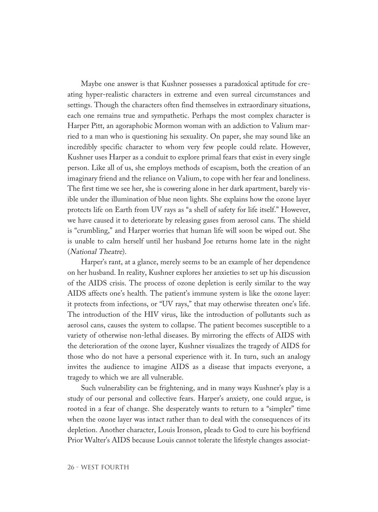Maybe one answer is that Kushner possesses a paradoxical aptitude for creating hyper-realistic characters in extreme and even surreal circumstances and settings. Though the characters often find themselves in extraordinary situations, each one remains true and sympathetic. Perhaps the most complex character is Harper Pitt, an agoraphobic Mormon woman with an addiction to Valium married to a man who is questioning his sexuality. On paper, she may sound like an incredibly specific character to whom very few people could relate. However, Kushner uses Harper as a conduit to explore primal fears that exist in every single person. Like all of us, she employs methods of escapism, both the creation of an imaginary friend and the reliance on Valium, to cope with her fear and loneliness. The first time we see her, she is cowering alone in her dark apartment, barely visible under the illumination of blue neon lights. She explains how the ozone layer protects life on Earth from UV rays as "a shell of safety for life itself." However, we have caused it to deteriorate by releasing gases from aerosol cans. The shield is "crumbling," and Harper worries that human life will soon be wiped out. She is unable to calm herself until her husband Joe returns home late in the night (National Theatre).

Harper's rant, at a glance, merely seems to be an example of her dependence on her husband. In reality, Kushner explores her anxieties to set up his discussion of the AIDS crisis. The process of ozone depletion is eerily similar to the way AIDS affects one's health. The patient's immune system is like the ozone layer: it protects from infections, or "UV rays," that may otherwise threaten one's life. The introduction of the HIV virus, like the introduction of pollutants such as aerosol cans, causes the system to collapse. The patient becomes susceptible to a variety of otherwise non-lethal diseases. By mirroring the effects of AIDS with the deterioration of the ozone layer, Kushner visualizes the tragedy of AIDS for those who do not have a personal experience with it. In turn, such an analogy invites the audience to imagine AIDS as a disease that impacts everyone, a tragedy to which we are all vulnerable.

Such vulnerability can be frightening, and in many ways Kushner's play is a study of our personal and collective fears. Harper's anxiety, one could argue, is rooted in a fear of change. She desperately wants to return to a "simpler" time when the ozone layer was intact rather than to deal with the consequences of its depletion. Another character, Louis Ironson, pleads to God to cure his boyfriend Prior Walter's AIDS because Louis cannot tolerate the lifestyle changes associat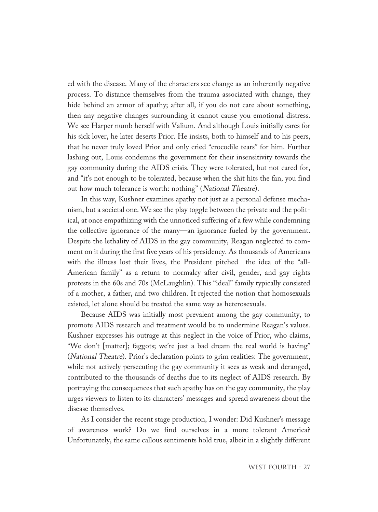ed with the disease. Many of the characters see change as an inherently negative process. To distance themselves from the trauma associated with change, they hide behind an armor of apathy; after all, if you do not care about something, then any negative changes surrounding it cannot cause you emotional distress. We see Harper numb herself with Valium. And although Louis initially cares for his sick lover, he later deserts Prior. He insists, both to himself and to his peers, that he never truly loved Prior and only cried "crocodile tears" for him. Further lashing out, Louis condemns the government for their insensitivity towards the gay community during the AIDS crisis. They were tolerated, but not cared for, and "it's not enough to be tolerated, because when the shit hits the fan, you find out how much tolerance is worth: nothing" (National Theatre).

In this way, Kushner examines apathy not just as a personal defense mechanism, but a societal one. We see the play toggle between the private and the political, at once empathizing with the unnoticed suffering of a few while condemning the collective ignorance of the many—an ignorance fueled by the government. Despite the lethality of AIDS in the gay community, Reagan neglected to comment on it during the first five years of his presidency. As thousands of Americans with the illness lost their lives, the President pitched the idea of the "all-American family" as a return to normalcy after civil, gender, and gay rights protests in the 60s and 70s (McLaughlin). This "ideal" family typically consisted of a mother, a father, and two children. It rejected the notion that homosexuals existed, let alone should be treated the same way as heterosexuals.

Because AIDS was initially most prevalent among the gay community, to promote AIDS research and treatment would be to undermine Reagan's values. Kushner expresses his outrage at this neglect in the voice of Prior, who claims, "We don't [matter]; faggots; we're just a bad dream the real world is having" (National Theatre). Prior's declaration points to grim realities: The government, while not actively persecuting the gay community it sees as weak and deranged, contributed to the thousands of deaths due to its neglect of AIDS research. By portraying the consequences that such apathy has on the gay community, the play urges viewers to listen to its characters' messages and spread awareness about the disease themselves.

As I consider the recent stage production, I wonder: Did Kushner's message of awareness work? Do we find ourselves in a more tolerant America? Unfortunately, the same callous sentiments hold true, albeit in a slightly different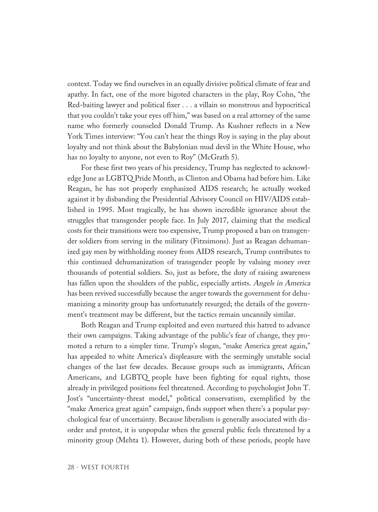context. Today we find ourselves in an equally divisive political climate of fear and apathy. In fact, one of the more bigoted characters in the play, Roy Cohn, "the Red-baiting lawyer and political fixer . . . a villain so monstrous and hypocritical that you couldn't take your eyes off him," was based on a real attorney of the same name who formerly counseled Donald Trump. As Kushner reflects in a New York Times interview: "You can't hear the things Roy is saying in the play about loyalty and not think about the Babylonian mud devil in the White House, who has no loyalty to anyone, not even to Roy" (McGrath 5).

For these first two years of his presidency, Trump has neglected to acknowledge June as LGBTQ Pride Month, as Clinton and Obama had before him. Like Reagan, he has not properly emphasized AIDS research; he actually worked against it by disbanding the Presidential Advisory Council on HIV/AIDS established in 1995. Most tragically, he has shown incredible ignorance about the struggles that transgender people face. In July 2017, claiming that the medical costs for their transitions were too expensive, Trump proposed a ban on transgender soldiers from serving in the military (Fitzsimons). Just as Reagan dehumanized gay men by withholding money from AIDS research, Trump contributes to this continued dehumanization of transgender people by valuing money over thousands of potential soldiers. So, just as before, the duty of raising awareness has fallen upon the shoulders of the public, especially artists. Angels in America has been revived successfully because the anger towards the government for dehumanizing a minority group has unfortunately resurged; the details of the government's treatment may be different, but the tactics remain uncannily similar.

Both Reagan and Trump exploited and even nurtured this hatred to advance their own campaigns. Taking advantage of the public's fear of change, they promoted a return to a simpler time. Trump's slogan, "make America great again," has appealed to white America's displeasure with the seemingly unstable social changes of the last few decades. Because groups such as immigrants, African Americans, and LGBTQ people have been fighting for equal rights, those already in privileged positions feel threatened. According to psychologist John T. Jost's "uncertainty-threat model," political conservatism, exemplified by the "make America great again" campaign, finds support when there's a popular psychological fear of uncertainty. Because liberalism is generally associated with disorder and protest, it is unpopular when the general public feels threatened by a minority group (Mehta 1). However, during both of these periods, people have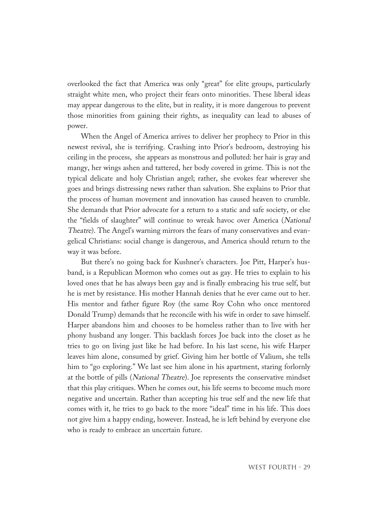overlooked the fact that America was only "great" for elite groups, particularly straight white men, who project their fears onto minorities. These liberal ideas may appear dangerous to the elite, but in reality, it is more dangerous to prevent those minorities from gaining their rights, as inequality can lead to abuses of power.

When the Angel of America arrives to deliver her prophecy to Prior in this newest revival, she is terrifying. Crashing into Prior's bedroom, destroying his ceiling in the process, she appears as monstrous and polluted: her hair is gray and mangy, her wings ashen and tattered, her body covered in grime. This is not the typical delicate and holy Christian angel; rather, she evokes fear wherever she goes and brings distressing news rather than salvation. She explains to Prior that the process of human movement and innovation has caused heaven to crumble. She demands that Prior advocate for a return to a static and safe society, or else the "fields of slaughter" will continue to wreak havoc over America (National Theatre). The Angel's warning mirrors the fears of many conservatives and evangelical Christians: social change is dangerous, and America should return to the way it was before.

But there's no going back for Kushner's characters. Joe Pitt, Harper's husband, is a Republican Mormon who comes out as gay. He tries to explain to his loved ones that he has always been gay and is finally embracing his true self, but he is met by resistance. His mother Hannah denies that he ever came out to her. His mentor and father figure Roy (the same Roy Cohn who once mentored Donald Trump) demands that he reconcile with his wife in order to save himself. Harper abandons him and chooses to be homeless rather than to live with her phony husband any longer. This backlash forces Joe back into the closet as he tries to go on living just like he had before. In his last scene, his wife Harper leaves him alone, consumed by grief. Giving him her bottle of Valium, she tells him to "go exploring." We last see him alone in his apartment, staring forlornly at the bottle of pills (National Theatre). Joe represents the conservative mindset that this play critiques. When he comes out, his life seems to become much more negative and uncertain. Rather than accepting his true self and the new life that comes with it, he tries to go back to the more "ideal" time in his life. This does not give him a happy ending, however. Instead, he is left behind by everyone else who is ready to embrace an uncertain future.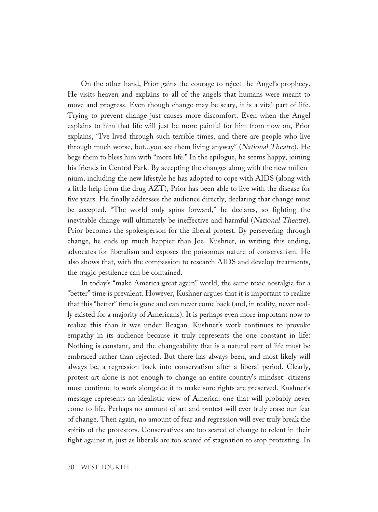On the other hand, Prior gains the courage to reject the Angel's prophecy. He visits heaven and explains to all of the angels that humans were meant to move and progress. Even though change may be scary, it is a vital part of life. Trying to prevent change just causes more discomfort. Even when the Angel explains to him that life will just be more painful for him from now on, Prior explains, "I've lived through such terrible times, and there are people who live through much worse, but...you see them living anyway" (National Theatre). He begs them to bless him with "more life." In the epilogue, he seems happy, joining his friends in Central Park. By accepting the changes along with the new millennium, including the new lifestyle he has adopted to cope with AIDS (along with a little help from the drug AZT), Prior has been able to live with the disease for five years. He finally addresses the audience directly, declaring that change must be accepted. "The world only spins forward," he declares, so fighting the inevitable change will ultimately be ineffective and harmful (National Theatre). Prior becomes the spokesperson for the liberal protest. By persevering through change, he ends up much happier than Joe. Kushner, in writing this ending, advocates for liberalism and exposes the poisonous nature of conservatism. He also shows that, with the compassion to research AIDS and develop treatments, the tragic pestilence can be contained.

In today's "make America great again" world, the same toxic nostalgia for a "better" time is prevalent. However, Kushner argues that it is important to realize that this "better" time is gone and can never come back (and, in reality, never really existed for a majority of Americans). It is perhaps even more important now to realize this than it was under Reagan. Kushner's work continues to provoke empathy in its audience because it truly represents the one constant in life: Nothing is constant, and the changeability that is a natural part of life must be embraced rather than rejected. But there has always been, and most likely will always be, a regression back into conservatism after a liberal period. Clearly, protest art alone is not enough to change an entire country's mindset: citizens must continue to work alongside it to make sure rights are preserved. Kushner's message represents an idealistic view of America, one that will probably never come to life. Perhaps no amount of art and protest will ever truly erase our fear of change. Then again, no amount of fear and regression will ever truly break the spirits of the protestors. Conservatives are too scared of change to relent in their fight against it, just as liberals are too scared of stagnation to stop protesting. In